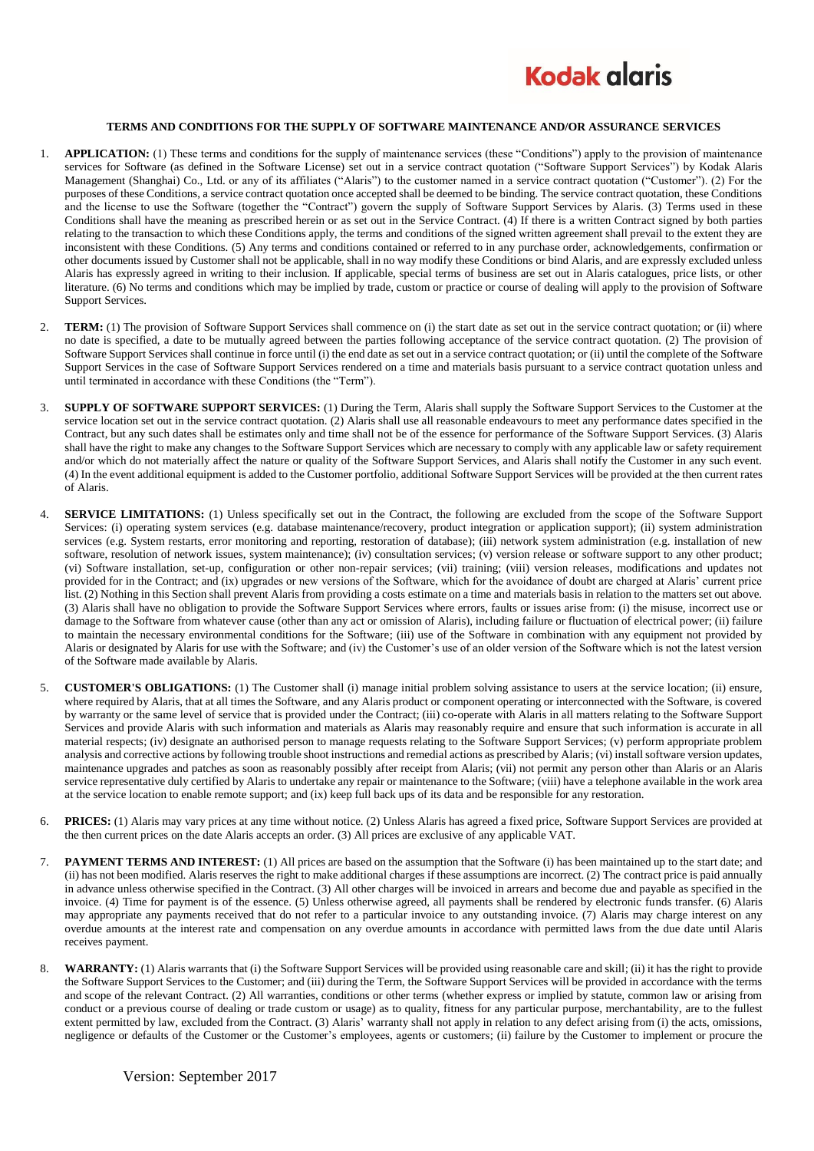

## **TERMS AND CONDITIONS FOR THE SUPPLY OF SOFTWARE MAINTENANCE AND/OR ASSURANCE SERVICES**

- 1. **APPLICATION:** (1) These terms and conditions for the supply of maintenance services (these "Conditions") apply to the provision of maintenance services for Software (as defined in the Software License) set out in a service contract quotation ("Software Support Services") by Kodak Alaris Management (Shanghai) Co., Ltd. or any of its affiliates ("Alaris") to the customer named in a service contract quotation ("Customer"). (2) For the purposes of these Conditions, a service contract quotation once accepted shall be deemed to be binding. The service contract quotation, these Conditions and the license to use the Software (together the "Contract") govern the supply of Software Support Services by Alaris. (3) Terms used in these Conditions shall have the meaning as prescribed herein or as set out in the Service Contract. (4) If there is a written Contract signed by both parties relating to the transaction to which these Conditions apply, the terms and conditions of the signed written agreement shall prevail to the extent they are inconsistent with these Conditions. (5) Any terms and conditions contained or referred to in any purchase order, acknowledgements, confirmation or other documents issued by Customer shall not be applicable, shall in no way modify these Conditions or bind Alaris, and are expressly excluded unless Alaris has expressly agreed in writing to their inclusion. If applicable, special terms of business are set out in Alaris catalogues, price lists, or other literature. (6) No terms and conditions which may be implied by trade, custom or practice or course of dealing will apply to the provision of Software Support Services.
- 2. **TERM:** (1) The provision of Software Support Services shall commence on (i) the start date as set out in the service contract quotation; or (ii) where no date is specified, a date to be mutually agreed between the parties following acceptance of the service contract quotation. (2) The provision of Software Support Services shall continue in force until (i) the end date as set out in a service contract quotation; or (ii) until the complete of the Software Support Services in the case of Software Support Services rendered on a time and materials basis pursuant to a service contract quotation unless and until terminated in accordance with these Conditions (the "Term").
- 3. **SUPPLY OF SOFTWARE SUPPORT SERVICES:** (1) During the Term, Alaris shall supply the Software Support Services to the Customer at the service location set out in the service contract quotation. (2) Alaris shall use all reasonable endeavours to meet any performance dates specified in the Contract, but any such dates shall be estimates only and time shall not be of the essence for performance of the Software Support Services. (3) Alaris shall have the right to make any changes to the Software Support Services which are necessary to comply with any applicable law or safety requirement and/or which do not materially affect the nature or quality of the Software Support Services, and Alaris shall notify the Customer in any such event. (4) In the event additional equipment is added to the Customer portfolio, additional Software Support Services will be provided at the then current rates of Alaris.
- 4. **SERVICE LIMITATIONS:** (1) Unless specifically set out in the Contract, the following are excluded from the scope of the Software Support Services: (i) operating system services (e.g. database maintenance/recovery, product integration or application support); (ii) system administration services (e.g. System restarts, error monitoring and reporting, restoration of database); (iii) network system administration (e.g. installation of new software, resolution of network issues, system maintenance); (iv) consultation services; (v) version release or software support to any other product; (vi) Software installation, set-up, configuration or other non-repair services; (vii) training; (viii) version releases, modifications and updates not provided for in the Contract; and (ix) upgrades or new versions of the Software, which for the avoidance of doubt are charged at Alaris' current price list. (2) Nothing in this Section shall prevent Alaris from providing a costs estimate on a time and materials basis in relation to the matters set out above. (3) Alaris shall have no obligation to provide the Software Support Services where errors, faults or issues arise from: (i) the misuse, incorrect use or damage to the Software from whatever cause (other than any act or omission of Alaris), including failure or fluctuation of electrical power; (ii) failure to maintain the necessary environmental conditions for the Software; (iii) use of the Software in combination with any equipment not provided by Alaris or designated by Alaris for use with the Software; and (iv) the Customer's use of an older version of the Software which is not the latest version of the Software made available by Alaris.
- 5. **CUSTOMER'S OBLIGATIONS:** (1) The Customer shall (i) manage initial problem solving assistance to users at the service location; (ii) ensure, where required by Alaris, that at all times the Software, and any Alaris product or component operating or interconnected with the Software, is covered by warranty or the same level of service that is provided under the Contract; (iii) co-operate with Alaris in all matters relating to the Software Support Services and provide Alaris with such information and materials as Alaris may reasonably require and ensure that such information is accurate in all material respects; (iv) designate an authorised person to manage requests relating to the Software Support Services; (v) perform appropriate problem analysis and corrective actions by following trouble shoot instructions and remedial actions as prescribed by Alaris; (vi) install software version updates, maintenance upgrades and patches as soon as reasonably possibly after receipt from Alaris; (vii) not permit any person other than Alaris or an Alaris service representative duly certified by Alaris to undertake any repair or maintenance to the Software; (viii) have a telephone available in the work area at the service location to enable remote support; and (ix) keep full back ups of its data and be responsible for any restoration.
- **PRICES:** (1) Alaris may vary prices at any time without notice. (2) Unless Alaris has agreed a fixed price, Software Support Services are provided at the then current prices on the date Alaris accepts an order. (3) All prices are exclusive of any applicable VAT.
- 7. **PAYMENT TERMS AND INTEREST:** (1) All prices are based on the assumption that the Software (i) has been maintained up to the start date; and (ii) has not been modified. Alaris reserves the right to make additional charges if these assumptions are incorrect. (2) The contract price is paid annually in advance unless otherwise specified in the Contract. (3) All other charges will be invoiced in arrears and become due and payable as specified in the invoice. (4) Time for payment is of the essence. (5) Unless otherwise agreed, all payments shall be rendered by electronic funds transfer. (6) Alaris may appropriate any payments received that do not refer to a particular invoice to any outstanding invoice. (7) Alaris may charge interest on any overdue amounts at the interest rate and compensation on any overdue amounts in accordance with permitted laws from the due date until Alaris receives payment.
- 8. **WARRANTY:** (1) Alaris warrants that (i) the Software Support Services will be provided using reasonable care and skill; (ii) it has the right to provide the Software Support Services to the Customer; and (iii) during the Term, the Software Support Services will be provided in accordance with the terms and scope of the relevant Contract. (2) All warranties, conditions or other terms (whether express or implied by statute, common law or arising from conduct or a previous course of dealing or trade custom or usage) as to quality, fitness for any particular purpose, merchantability, are to the fullest extent permitted by law, excluded from the Contract. (3) Alaris' warranty shall not apply in relation to any defect arising from (i) the acts, omissions, negligence or defaults of the Customer or the Customer's employees, agents or customers; (ii) failure by the Customer to implement or procure the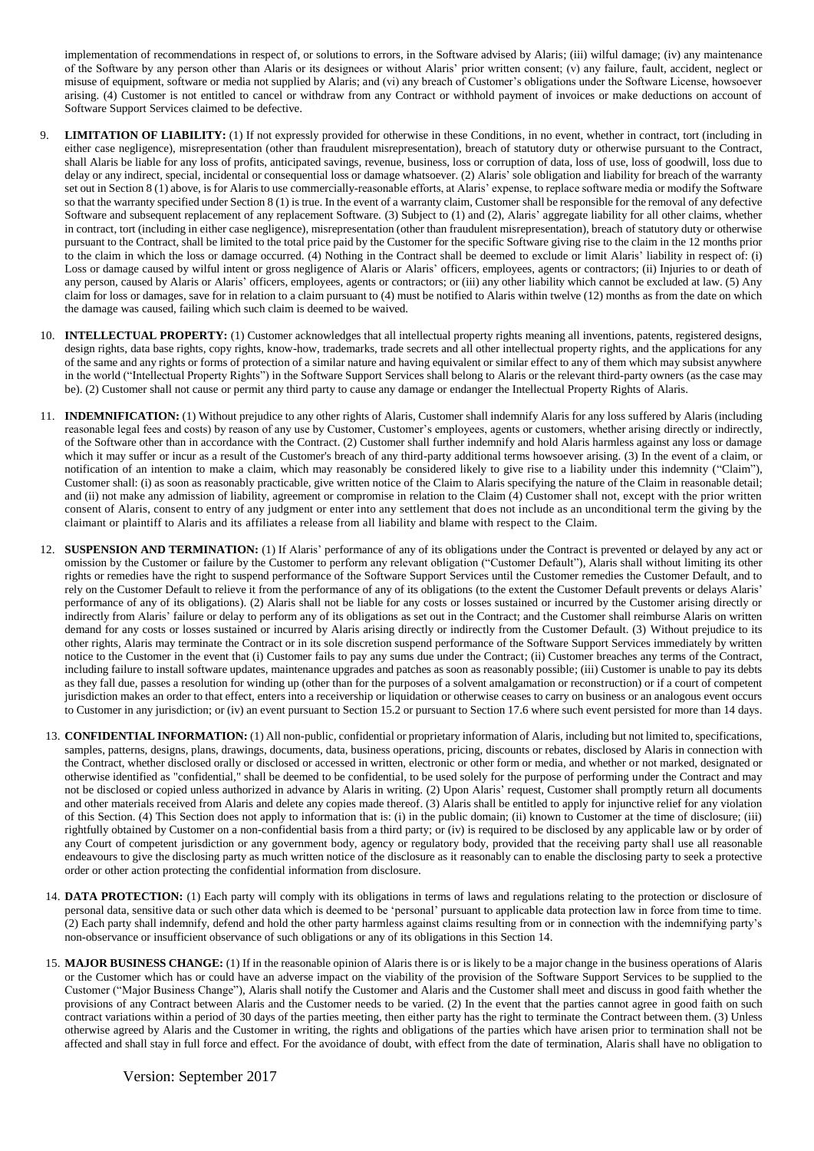implementation of recommendations in respect of, or solutions to errors, in the Software advised by Alaris; (iii) wilful damage; (iv) any maintenance of the Software by any person other than Alaris or its designees or without Alaris' prior written consent; (v) any failure, fault, accident, neglect or misuse of equipment, software or media not supplied by Alaris; and (vi) any breach of Customer's obligations under the Software License, howsoever arising. (4) Customer is not entitled to cancel or withdraw from any Contract or withhold payment of invoices or make deductions on account of Software Support Services claimed to be defective.

- 9. **LIMITATION OF LIABILITY:** (1) If not expressly provided for otherwise in these Conditions, in no event, whether in contract, tort (including in either case negligence), misrepresentation (other than fraudulent misrepresentation), breach of statutory duty or otherwise pursuant to the Contract, shall Alaris be liable for any loss of profits, anticipated savings, revenue, business, loss or corruption of data, loss of use, loss of goodwill, loss due to delay or any indirect, special, incidental or consequential loss or damage whatsoever. (2) Alaris' sole obligation and liability for breach of the warranty set out in Section 8 (1) above, is for Alaris to use commercially-reasonable efforts, at Alaris' expense, to replace software media or modify the Software so that the warranty specified under Section 8 (1) is true. In the event of a warranty claim, Customer shall be responsible for the removal of any defective Software and subsequent replacement of any replacement Software. (3) Subject to (1) and (2), Alaris' aggregate liability for all other claims, whether in contract, tort (including in either case negligence), misrepresentation (other than fraudulent misrepresentation), breach of statutory duty or otherwise pursuant to the Contract, shall be limited to the total price paid by the Customer for the specific Software giving rise to the claim in the 12 months prior to the claim in which the loss or damage occurred. (4) Nothing in the Contract shall be deemed to exclude or limit Alaris' liability in respect of: (i) Loss or damage caused by wilful intent or gross negligence of Alaris or Alaris' officers, employees, agents or contractors; (ii) Injuries to or death of any person, caused by Alaris or Alaris' officers, employees, agents or contractors; or (iii) any other liability which cannot be excluded at law. (5) Any claim for loss or damages, save for in relation to a claim pursuant to (4) must be notified to Alaris within twelve (12) months as from the date on which the damage was caused, failing which such claim is deemed to be waived.
- 10. **INTELLECTUAL PROPERTY:** (1) Customer acknowledges that all intellectual property rights meaning all inventions, patents, registered designs, design rights, data base rights, copy rights, know-how, trademarks, trade secrets and all other intellectual property rights, and the applications for any of the same and any rights or forms of protection of a similar nature and having equivalent or similar effect to any of them which may subsist anywhere in the world ("Intellectual Property Rights") in the Software Support Services shall belong to Alaris or the relevant third-party owners (as the case may be). (2) Customer shall not cause or permit any third party to cause any damage or endanger the Intellectual Property Rights of Alaris.
- 11. **INDEMNIFICATION:** (1) Without prejudice to any other rights of Alaris, Customer shall indemnify Alaris for any loss suffered by Alaris (including reasonable legal fees and costs) by reason of any use by Customer, Customer's employees, agents or customers, whether arising directly or indirectly, of the Software other than in accordance with the Contract. (2) Customer shall further indemnify and hold Alaris harmless against any loss or damage which it may suffer or incur as a result of the Customer's breach of any third-party additional terms howsoever arising. (3) In the event of a claim, or notification of an intention to make a claim, which may reasonably be considered likely to give rise to a liability under this indemnity ("Claim"), Customer shall: (i) as soon as reasonably practicable, give written notice of the Claim to Alaris specifying the nature of the Claim in reasonable detail; and (ii) not make any admission of liability, agreement or compromise in relation to the Claim (4) Customer shall not, except with the prior written consent of Alaris, consent to entry of any judgment or enter into any settlement that does not include as an unconditional term the giving by the claimant or plaintiff to Alaris and its affiliates a release from all liability and blame with respect to the Claim.
- 12. **SUSPENSION AND TERMINATION:** (1) If Alaris' performance of any of its obligations under the Contract is prevented or delayed by any act or omission by the Customer or failure by the Customer to perform any relevant obligation ("Customer Default"), Alaris shall without limiting its other rights or remedies have the right to suspend performance of the Software Support Services until the Customer remedies the Customer Default, and to rely on the Customer Default to relieve it from the performance of any of its obligations (to the extent the Customer Default prevents or delays Alaris' performance of any of its obligations). (2) Alaris shall not be liable for any costs or losses sustained or incurred by the Customer arising directly or indirectly from Alaris' failure or delay to perform any of its obligations as set out in the Contract; and the Customer shall reimburse Alaris on written demand for any costs or losses sustained or incurred by Alaris arising directly or indirectly from the Customer Default. (3) Without prejudice to its other rights, Alaris may terminate the Contract or in its sole discretion suspend performance of the Software Support Services immediately by written notice to the Customer in the event that (i) Customer fails to pay any sums due under the Contract; (ii) Customer breaches any terms of the Contract, including failure to install software updates, maintenance upgrades and patches as soon as reasonably possible; (iii) Customer is unable to pay its debts as they fall due, passes a resolution for winding up (other than for the purposes of a solvent amalgamation or reconstruction) or if a court of competent jurisdiction makes an order to that effect, enters into a receivership or liquidation or otherwise ceases to carry on business or an analogous event occurs to Customer in any jurisdiction; or (iv) an event pursuant to Section 15.2 or pursuant to Section 17.6 where such event persisted for more than 14 days.
- 13. **CONFIDENTIAL INFORMATION:** (1) All non-public, confidential or proprietary information of Alaris, including but not limited to, specifications, samples, patterns, designs, plans, drawings, documents, data, business operations, pricing, discounts or rebates, disclosed by Alaris in connection with the Contract, whether disclosed orally or disclosed or accessed in written, electronic or other form or media, and whether or not marked, designated or otherwise identified as "confidential," shall be deemed to be confidential, to be used solely for the purpose of performing under the Contract and may not be disclosed or copied unless authorized in advance by Alaris in writing. (2) Upon Alaris' request, Customer shall promptly return all documents and other materials received from Alaris and delete any copies made thereof. (3) Alaris shall be entitled to apply for injunctive relief for any violation of this Section. (4) This Section does not apply to information that is: (i) in the public domain; (ii) known to Customer at the time of disclosure; (iii) rightfully obtained by Customer on a non-confidential basis from a third party; or (iv) is required to be disclosed by any applicable law or by order of any Court of competent jurisdiction or any government body, agency or regulatory body, provided that the receiving party shall use all reasonable endeavours to give the disclosing party as much written notice of the disclosure as it reasonably can to enable the disclosing party to seek a protective order or other action protecting the confidential information from disclosure.
- 14. **DATA PROTECTION:** (1) Each party will comply with its obligations in terms of laws and regulations relating to the protection or disclosure of personal data, sensitive data or such other data which is deemed to be 'personal' pursuant to applicable data protection law in force from time to time. (2) Each party shall indemnify, defend and hold the other party harmless against claims resulting from or in connection with the indemnifying party's non-observance or insufficient observance of such obligations or any of its obligations in this Section 14.
- 15. **MAJOR BUSINESS CHANGE:** (1) If in the reasonable opinion of Alaris there is or is likely to be a major change in the business operations of Alaris or the Customer which has or could have an adverse impact on the viability of the provision of the Software Support Services to be supplied to the Customer ("Major Business Change"), Alaris shall notify the Customer and Alaris and the Customer shall meet and discuss in good faith whether the provisions of any Contract between Alaris and the Customer needs to be varied. (2) In the event that the parties cannot agree in good faith on such contract variations within a period of 30 days of the parties meeting, then either party has the right to terminate the Contract between them. (3) Unless otherwise agreed by Alaris and the Customer in writing, the rights and obligations of the parties which have arisen prior to termination shall not be affected and shall stay in full force and effect. For the avoidance of doubt, with effect from the date of termination, Alaris shall have no obligation to